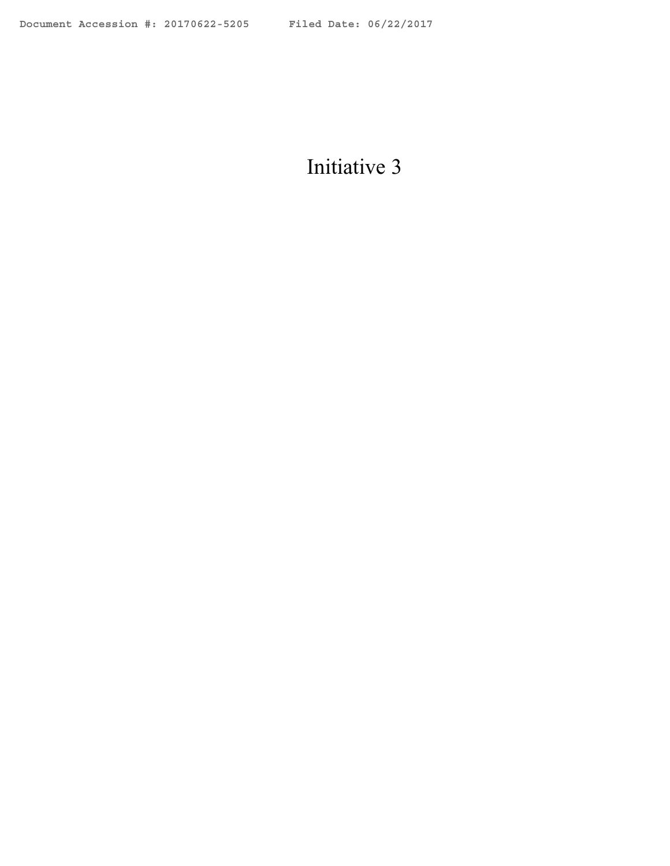## Initiative 3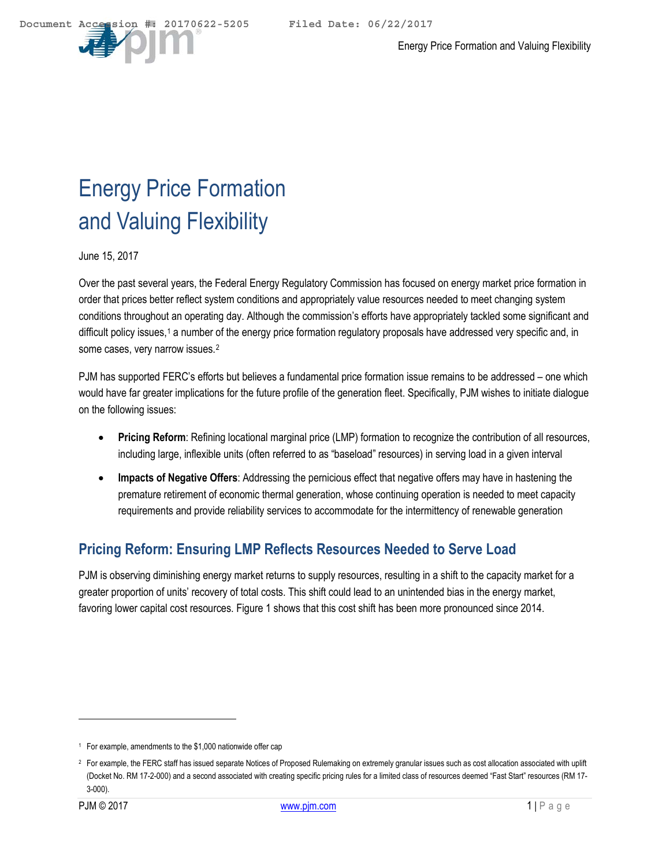

# Energy Price Formation and Valuing Flexibility

June 15, 2017

Over the past several years, the Federal Energy Regulatory Commission has focused on energy market price formation in order that prices better reflect system conditions and appropriately value resources needed to meet changing system conditions throughout an operating day. Although the commission's efforts have appropriately tackled some significant and difficult policy issues,<sup>[1](#page-1-0)</sup> a number of the energy price formation regulatory proposals have addressed very specific and, in some cases, very narrow issues.[2](#page-1-1)

PJM has supported FERC's efforts but believes a fundamental price formation issue remains to be addressed – one which would have far greater implications for the future profile of the generation fleet. Specifically, PJM wishes to initiate dialogue on the following issues:

- **Pricing Reform**: Refining locational marginal price (LMP) formation to recognize the contribution of all resources, including large, inflexible units (often referred to as "baseload" resources) in serving load in a given interval
- **Impacts of Negative Offers**: Addressing the pernicious effect that negative offers may have in hastening the premature retirement of economic thermal generation, whose continuing operation is needed to meet capacity requirements and provide reliability services to accommodate for the intermittency of renewable generation

## **Pricing Reform: Ensuring LMP Reflects Resources Needed to Serve Load**

PJM is observing diminishing energy market returns to supply resources, resulting in a shift to the capacity market for a greater proportion of units' recovery of total costs. This shift could lead to an unintended bias in the energy market, favoring lower capital cost resources. [Figure 1](#page-2-0) shows that this cost shift has been more pronounced since 2014.

 $\overline{a}$ 

<span id="page-1-0"></span><sup>1</sup> For example, amendments to the \$1,000 nationwide offer cap

<span id="page-1-1"></span><sup>&</sup>lt;sup>2</sup> For example, the FERC staff has issued separate Notices of Proposed Rulemaking on extremely granular issues such as cost allocation associated with uplift (Docket No. RM 17-2-000) and a second associated with creating specific pricing rules for a limited class of resources deemed "Fast Start" resources (RM 17- 3-000).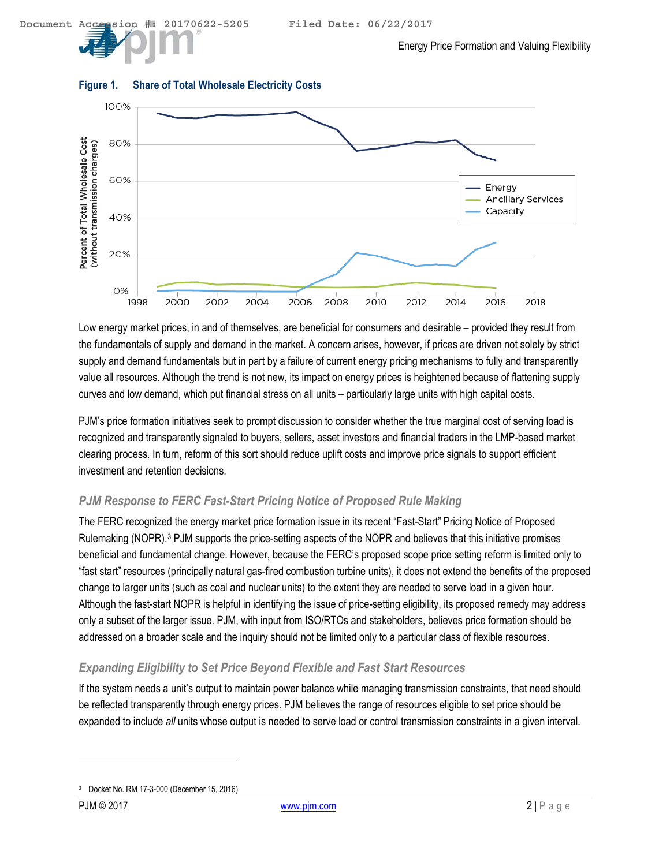

#### <span id="page-2-0"></span>**Figure 1. Share of Total Wholesale Electricity Costs**

Low energy market prices, in and of themselves, are beneficial for consumers and desirable – provided they result from the fundamentals of supply and demand in the market. A concern arises, however, if prices are driven not solely by strict supply and demand fundamentals but in part by a failure of current energy pricing mechanisms to fully and transparently value all resources. Although the trend is not new, its impact on energy prices is heightened because of flattening supply curves and low demand, which put financial stress on all units – particularly large units with high capital costs.

PJM's price formation initiatives seek to prompt discussion to consider whether the true marginal cost of serving load is recognized and transparently signaled to buyers, sellers, asset investors and financial traders in the LMP-based market clearing process. In turn, reform of this sort should reduce uplift costs and improve price signals to support efficient investment and retention decisions.

#### *PJM Response to FERC Fast-Start Pricing Notice of Proposed Rule Making*

The FERC recognized the energy market price formation issue in its recent "Fast-Start" Pricing Notice of Proposed Rulemaking (NOPR).[3](#page-2-1) PJM supports the price-setting aspects of the NOPR and believes that this initiative promises beneficial and fundamental change. However, because the FERC's proposed scope price setting reform is limited only to "fast start" resources (principally natural gas-fired combustion turbine units), it does not extend the benefits of the proposed change to larger units (such as coal and nuclear units) to the extent they are needed to serve load in a given hour. Although the fast-start NOPR is helpful in identifying the issue of price-setting eligibility, its proposed remedy may address only a subset of the larger issue. PJM, with input from ISO/RTOs and stakeholders, believes price formation should be addressed on a broader scale and the inquiry should not be limited only to a particular class of flexible resources.

#### *Expanding Eligibility to Set Price Beyond Flexible and Fast Start Resources*

If the system needs a unit's output to maintain power balance while managing transmission constraints, that need should be reflected transparently through energy prices. PJM believes the range of resources eligible to set price should be expanded to include *all* units whose output is needed to serve load or control transmission constraints in a given interval.

-

<span id="page-2-1"></span><sup>3</sup> Docket No. RM 17-3-000 (December 15, 2016)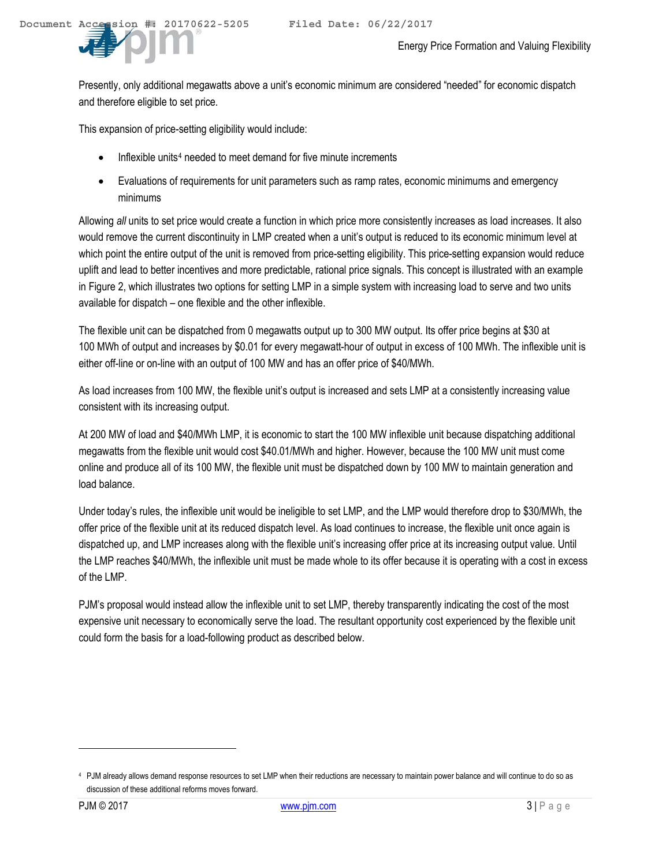Presently, only additional megawatts above a unit's economic minimum are considered "needed" for economic dispatch and therefore eligible to set price.

This expansion of price-setting eligibility would include:

- Inflexible units<sup>[4](#page-3-0)</sup> needed to meet demand for five minute increments
- Evaluations of requirements for unit parameters such as ramp rates, economic minimums and emergency minimums

Allowing *all* units to set price would create a function in which price more consistently increases as load increases. It also would remove the current discontinuity in LMP created when a unit's output is reduced to its economic minimum level at which point the entire output of the unit is removed from price-setting eligibility. This price-setting expansion would reduce uplift and lead to better incentives and more predictable, rational price signals. This concept is illustrated with an example in [Figure 2,](#page-4-0) which illustrates two options for setting LMP in a simple system with increasing load to serve and two units available for dispatch – one flexible and the other inflexible.

The flexible unit can be dispatched from 0 megawatts output up to 300 MW output. Its offer price begins at \$30 at 100 MWh of output and increases by \$0.01 for every megawatt-hour of output in excess of 100 MWh. The inflexible unit is either off-line or on-line with an output of 100 MW and has an offer price of \$40/MWh.

As load increases from 100 MW, the flexible unit's output is increased and sets LMP at a consistently increasing value consistent with its increasing output.

At 200 MW of load and \$40/MWh LMP, it is economic to start the 100 MW inflexible unit because dispatching additional megawatts from the flexible unit would cost \$40.01/MWh and higher. However, because the 100 MW unit must come online and produce all of its 100 MW, the flexible unit must be dispatched down by 100 MW to maintain generation and load balance.

Under today's rules, the inflexible unit would be ineligible to set LMP, and the LMP would therefore drop to \$30/MWh, the offer price of the flexible unit at its reduced dispatch level. As load continues to increase, the flexible unit once again is dispatched up, and LMP increases along with the flexible unit's increasing offer price at its increasing output value. Until the LMP reaches \$40/MWh, the inflexible unit must be made whole to its offer because it is operating with a cost in excess of the LMP.

PJM's proposal would instead allow the inflexible unit to set LMP, thereby transparently indicating the cost of the most expensive unit necessary to economically serve the load. The resultant opportunity cost experienced by the flexible unit could form the basis for a load-following product as described below.

**.** 

<span id="page-3-0"></span><sup>4</sup> PJM already allows demand response resources to set LMP when their reductions are necessary to maintain power balance and will continue to do so as discussion of these additional reforms moves forward.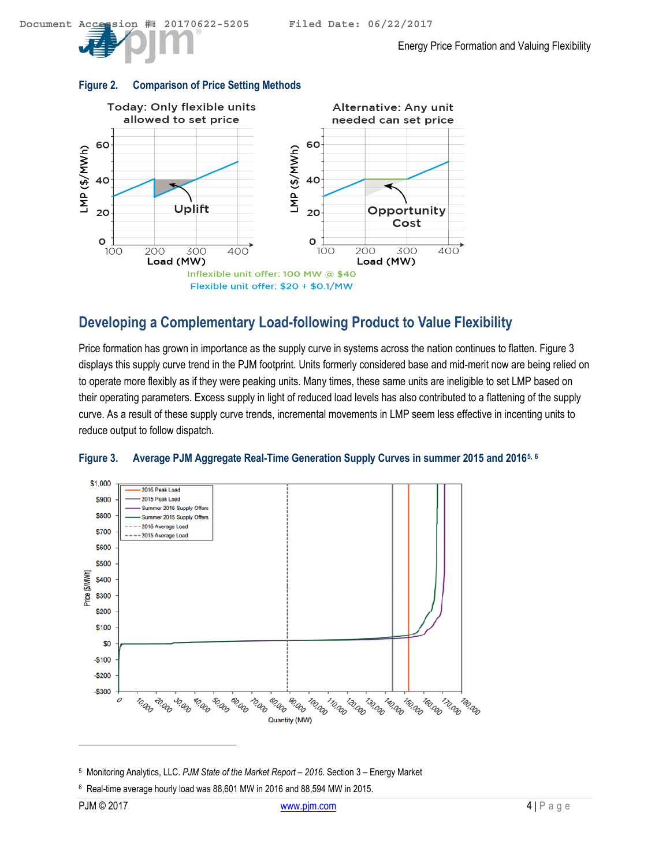#### <span id="page-4-0"></span>**Figure 2. Comparison of Price Setting Methods**



## **Developing a Complementary Load-following Product to Value Flexibility**

Price formation has grown in importance as the supply curve in systems across the nation continues to flatten. [Figure 3](#page-4-1) displays this supply curve trend in the PJM footprint. Units formerly considered base and mid-merit now are being relied on to operate more flexibly as if they were peaking units. Many times, these same units are ineligible to set LMP based on their operating parameters. Excess supply in light of reduced load levels has also contributed to a flattening of the supply curve. As a result of these supply curve trends, incremental movements in LMP seem less effective in incenting units to reduce output to follow dispatch.



#### <span id="page-4-1"></span>**Figure 3. Average PJM Aggregate Real-Time Generation Supply Curves in summer 2015 and 2016[5](#page-4-2), [6](#page-4-3)**

<span id="page-4-2"></span><sup>5</sup> Monitoring Analytics, LLC. *PJM State of the Market Report – 2016*. Section 3 – Energy Market

<span id="page-4-3"></span><sup>6</sup> Real-time average hourly load was 88,601 MW in 2016 and 88,594 MW in 2015.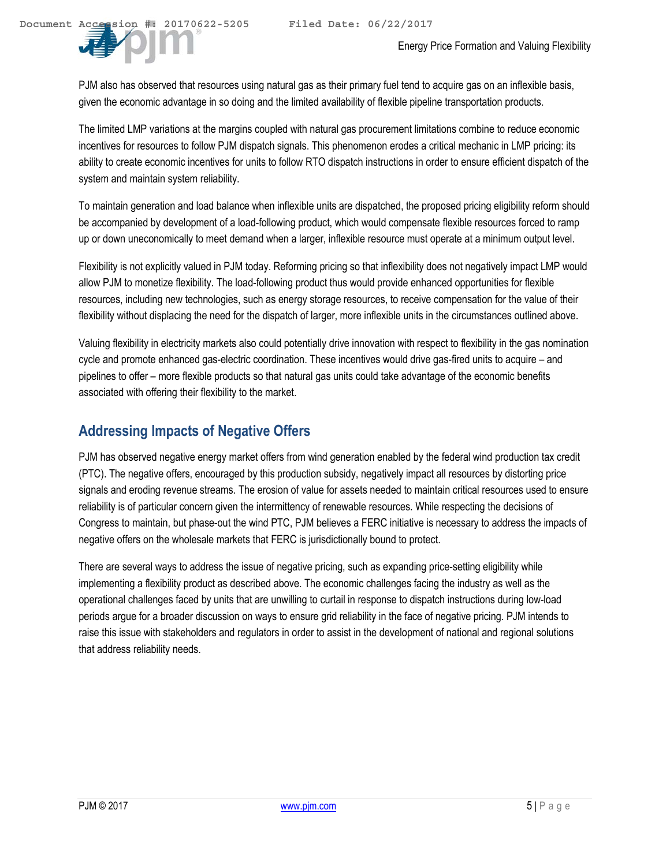PJM also has observed that resources using natural gas as their primary fuel tend to acquire gas on an inflexible basis, given the economic advantage in so doing and the limited availability of flexible pipeline transportation products.

The limited LMP variations at the margins coupled with natural gas procurement limitations combine to reduce economic incentives for resources to follow PJM dispatch signals. This phenomenon erodes a critical mechanic in LMP pricing: its ability to create economic incentives for units to follow RTO dispatch instructions in order to ensure efficient dispatch of the system and maintain system reliability.

To maintain generation and load balance when inflexible units are dispatched, the proposed pricing eligibility reform should be accompanied by development of a load-following product, which would compensate flexible resources forced to ramp up or down uneconomically to meet demand when a larger, inflexible resource must operate at a minimum output level.

Flexibility is not explicitly valued in PJM today. Reforming pricing so that inflexibility does not negatively impact LMP would allow PJM to monetize flexibility. The load-following product thus would provide enhanced opportunities for flexible resources, including new technologies, such as energy storage resources, to receive compensation for the value of their flexibility without displacing the need for the dispatch of larger, more inflexible units in the circumstances outlined above.

Valuing flexibility in electricity markets also could potentially drive innovation with respect to flexibility in the gas nomination cycle and promote enhanced gas-electric coordination. These incentives would drive gas-fired units to acquire – and pipelines to offer – more flexible products so that natural gas units could take advantage of the economic benefits associated with offering their flexibility to the market.

### **Addressing Impacts of Negative Offers**

PJM has observed negative energy market offers from wind generation enabled by the federal wind production tax credit (PTC). The negative offers, encouraged by this production subsidy, negatively impact all resources by distorting price signals and eroding revenue streams. The erosion of value for assets needed to maintain critical resources used to ensure reliability is of particular concern given the intermittency of renewable resources. While respecting the decisions of Congress to maintain, but phase-out the wind PTC, PJM believes a FERC initiative is necessary to address the impacts of negative offers on the wholesale markets that FERC is jurisdictionally bound to protect.

There are several ways to address the issue of negative pricing, such as expanding price-setting eligibility while implementing a flexibility product as described above. The economic challenges facing the industry as well as the operational challenges faced by units that are unwilling to curtail in response to dispatch instructions during low-load periods argue for a broader discussion on ways to ensure grid reliability in the face of negative pricing. PJM intends to raise this issue with stakeholders and regulators in order to assist in the development of national and regional solutions that address reliability needs.